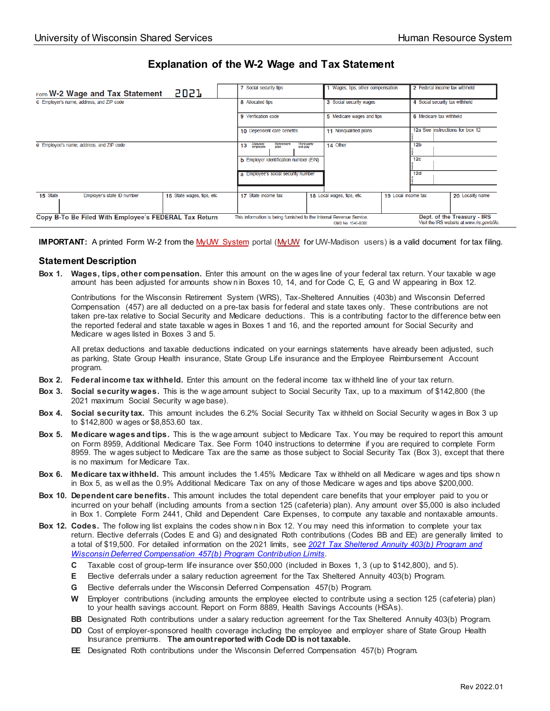## **Explanation of the W-2 Wage and Tax Statement**

| 5057<br>Form W-2 Wage and Tax Statement                              | 7 Social security tips                                                       | 1 Wages, tips, other compensation                 | 2 Federal income tax withheld                                              |
|----------------------------------------------------------------------|------------------------------------------------------------------------------|---------------------------------------------------|----------------------------------------------------------------------------|
| c Employer's name, address, and ZIP code                             | 8 Allocated tips                                                             | 3 Social security wages                           | 4 Social security tax withheld                                             |
|                                                                      | 9 Verification code                                                          | 5 Medicare wages and tips                         | 6 Medicare tax withheld                                                    |
|                                                                      | 10 Dependent care benefits                                                   | 11 Nonqualified plans                             | 12a See instructions for box 12                                            |
| e Employee's name, address, and ZIP code                             | Third-party<br>sick pay<br>Statutory<br>employee<br>Retirement<br>plan<br>13 | 14 Other                                          | 12 <sub>b</sub>                                                            |
|                                                                      | <b>b</b> Employer identification number (EIN)                                |                                                   | 12 <sub>c</sub>                                                            |
|                                                                      | a Employee's social security number                                          |                                                   | 12d                                                                        |
| 15 State<br>Employer's state ID number<br>16 State wages, tips, etc. | 17 State income tax                                                          | 18 Local wages, tips, etc.<br>19 Local income tax | 20 Locality name                                                           |
| Copy B-To Be Filed With Employee's FEDERAL Tax Return                | This information is being furnished to the Internal Revenue Service.         | OMB No. 1545-0008                                 | Dept. of the Treasury - IRS<br>Visit the IRS website at www.irs.gov/efile. |

**IMPORTANT:** A printed Form W-2 from th[e MyUW System](https://my.wisconsin.edu/) portal [\(MyUW](https://my.wisc.edu/) for UW-Madison users) is a valid document for tax filing.

## **Statement Description**

**Box 1. Wages, tips, other compensation.** Enter this amount on the w ages line of your federal tax return. Your taxable w age amount has been adjusted for amounts show n in Boxes 10, 14, and for Code C, E, G and W appearing in Box 12.

Contributions for the Wisconsin Retirement System (WRS), Tax-Sheltered Annuities (403b) and Wisconsin Deferred Compensation (457) are all deducted on a pre-tax basis for federal and state taxes only. These contributions are not taken pre-tax relative to Social Security and Medicare deductions. This is a contributing factor to the difference betw een the reported federal and state taxable w ages in Boxes 1 and 16, and the reported amount for Social Security and Medicare w ages listed in Boxes 3 and 5.

All pretax deductions and taxable deductions indicated on your earnings statements have already been adjusted, such as parking, State Group Health insurance, State Group Life insurance and the Employee Reimbursement Account program.

- **Box 2. Federal income tax withheld.** Enter this amount on the federal income tax w ithheld line of your tax return.
- **Box 3. Social security wages.** This is the w age amount subject to Social Security Tax, up to a maximum of \$142,800 (the 2021 maximum Social Security w age base).
- **Box 4. Social security tax.** This amount includes the 6.2% Social Security Tax w ithheld on Social Security w ages in Box 3 up to \$142,800 w ages or \$8,853.60 tax.
- **Box 5. Medicare wages and tips.** This is the w age amount subject to Medicare Tax. You may be required to report this amount on Form 8959, Additional Medicare Tax. See Form 1040 instructions to determine if you are required to complete Form 8959. The w ages subject to Medicare Tax are the same as those subject to Social Security Tax (Box 3), except that there is no maximum for Medicare Tax.
- **Box 6. Medicare tax withheld.** This amount includes the 1.45% Medicare Tax w ithheld on all Medicare w ages and tips show n in Box 5, as w ell as the 0.9% Additional Medicare Tax on any of those Medicare w ages and tips above \$200,000.
- **Box 10. Dependent care benefits.** This amount includes the total dependent care benefits that your employer paid to you or incurred on your behalf (including amounts from a section 125 (cafeteria) plan). Any amount over \$5,000 is also included in Box 1. Complete Form 2441, Child and Dependent Care Expenses, to compute any taxable and nontaxable amounts.
- **Box 12. Codes.** The follow ing list explains the codes show n in Box 12. You may need this information to complete your tax return. Elective deferrals (Codes E and G) and designated Roth contributions (Codes BB and EE) are generally limited to a total of \$19,500. For detailed information on the 2021 limits, see *[2021 Tax Sheltered Annuity 403\(b\) Program](https://uwservice.wisconsin.edu/news/post/603) and [Wisconsin Deferred Compensation 457\(b\) Program](https://uwservice.wisconsin.edu/news/post/603) Contribution Limits*.
	- **C** Taxable cost of group-term life insurance over \$50,000 (included in Boxes 1, 3 (up to \$142,800), and 5).
	- **E** Elective deferrals under a salary reduction agreement for the Tax Sheltered Annuity 403(b) Program.
	- **G** Elective deferrals under the Wisconsin Deferred Compensation 457(b) Program.
	- **W** Employer contributions (including amounts the employee elected to contribute using a section 125 (cafeteria) plan) to your health savings account. Report on Form 8889, Health Savings Accounts (HSAs).
	- **BB** Designated Roth contributions under a salary reduction agreement for the Tax Sheltered Annuity 403(b) Program.
	- **DD** Cost of employer-sponsored health coverage including the employee and employer share of State Group Health Insurance premiums. **The amount reported with Code DD is not taxable.**
	- **EE** Designated Roth contributions under the Wisconsin Deferred Compensation 457(b) Program.